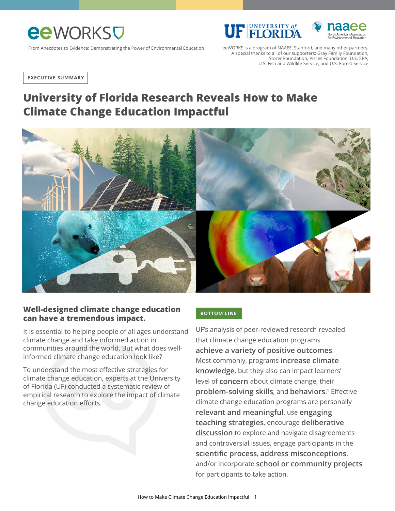

From Anecdotes to Evidence: Demonstrating the Power of Environmental Education eeWORKS is a program of NAAEE, Stanford, and many other partners. A special thanks to all of our supporters: Gray Family Foundation, Storer Foundation, Pisces Foundation, U.S. EPA, U.S. Fish and Wildlife Service, and U.S. Forest Service

**F EI ORIDA** 

**EXECUTIVE SUMMARY**

# **University of Florida Research Reveals How to Make Climate Change Education Impactful**



#### **Well-designed climate change education can have a tremendous impact.**

It is essential to helping people of all ages understand climate change and take informed action in communities around the world. But what does wellinformed climate change education look like?

To understand the most effective strategies for climate change education, experts at the University of Florida (UF) conducted a systematic review of empirical research to explore the impact of climate change education efforts.<sup>1</sup>

#### **BOTTOM LINE**

UF's analysis of peer-reviewed research revealed that climate change education programs **achieve a variety of positive outcomes**. Most commonly, programs **increase climate knowledge**, but they also can impact learners' level of **concern** about climate change, their **problem-solving skills**, and **behaviors**. <sup>1</sup> Effective climate change education programs are personally **relevant and meaningful**, use **engaging teaching strategies**, encourage **deliberative discussion** to explore and navigate disagreements and controversial issues, engage participants in the **scientific process**, **address misconceptions**, and/or incorporate **school or community projects** for participants to take action.